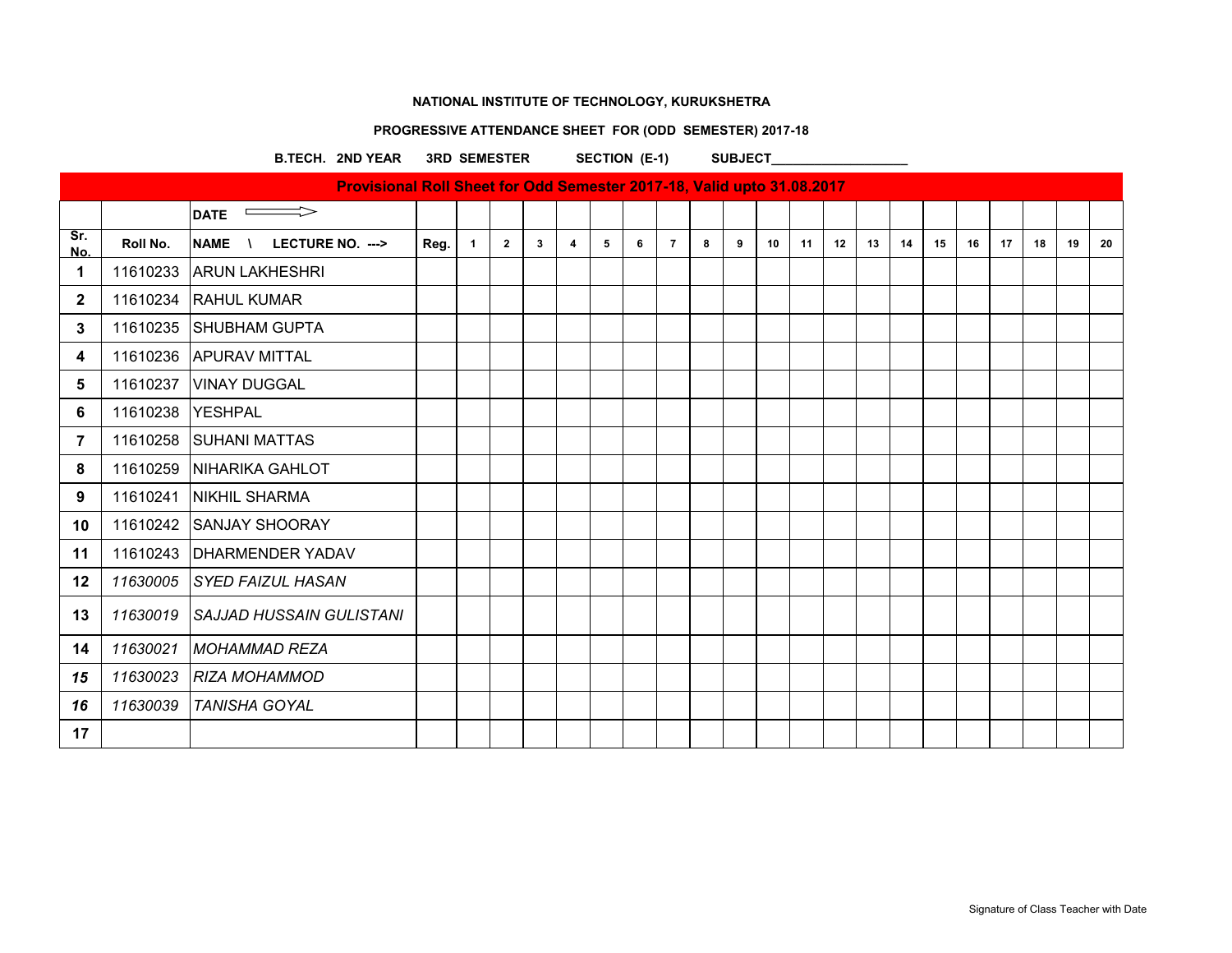## **PROGRESSIVE ATTENDANCE SHEET FOR (ODD SEMESTER) 2017-18**

B.TECH. 2ND YEAR 3RD SEMESTER SECTION (E-1) SUBJECT\_

| Provisional Roll Sheet for Odd Semester 2017-18, Valid upto 31.08.2017 |          |                                         |      |              |                |   |                |   |   |                |   |   |    |    |    |    |    |    |    |    |    |    |    |
|------------------------------------------------------------------------|----------|-----------------------------------------|------|--------------|----------------|---|----------------|---|---|----------------|---|---|----|----|----|----|----|----|----|----|----|----|----|
|                                                                        |          | <b>Contract Contract</b><br><b>DATE</b> |      |              |                |   |                |   |   |                |   |   |    |    |    |    |    |    |    |    |    |    |    |
| Sr.<br>No.                                                             | Roll No. | <b>NAME</b><br>LECTURE NO. --->         | Reg. | $\mathbf{1}$ | $\overline{2}$ | 3 | $\overline{4}$ | 5 | 6 | $\overline{7}$ | 8 | 9 | 10 | 11 | 12 | 13 | 14 | 15 | 16 | 17 | 18 | 19 | 20 |
| 1                                                                      | 11610233 | <b>ARUN LAKHESHRI</b>                   |      |              |                |   |                |   |   |                |   |   |    |    |    |    |    |    |    |    |    |    |    |
| $\mathbf{2}$                                                           | 11610234 | <b>RAHUL KUMAR</b>                      |      |              |                |   |                |   |   |                |   |   |    |    |    |    |    |    |    |    |    |    |    |
| 3                                                                      | 11610235 | SHUBHAM GUPTA                           |      |              |                |   |                |   |   |                |   |   |    |    |    |    |    |    |    |    |    |    |    |
| 4                                                                      | 11610236 | <b>APURAV MITTAL</b>                    |      |              |                |   |                |   |   |                |   |   |    |    |    |    |    |    |    |    |    |    |    |
| 5                                                                      | 11610237 | <b>VINAY DUGGAL</b>                     |      |              |                |   |                |   |   |                |   |   |    |    |    |    |    |    |    |    |    |    |    |
| 6                                                                      | 11610238 | <b>YESHPAL</b>                          |      |              |                |   |                |   |   |                |   |   |    |    |    |    |    |    |    |    |    |    |    |
| 7                                                                      | 11610258 | ISUHANI MATTAS                          |      |              |                |   |                |   |   |                |   |   |    |    |    |    |    |    |    |    |    |    |    |
| 8                                                                      | 11610259 | NIHARIKA GAHLOT                         |      |              |                |   |                |   |   |                |   |   |    |    |    |    |    |    |    |    |    |    |    |
| 9                                                                      | 11610241 | <b>NIKHIL SHARMA</b>                    |      |              |                |   |                |   |   |                |   |   |    |    |    |    |    |    |    |    |    |    |    |
| 10                                                                     | 11610242 | <b>SANJAY SHOORAY</b>                   |      |              |                |   |                |   |   |                |   |   |    |    |    |    |    |    |    |    |    |    |    |
| 11                                                                     | 11610243 | <b>DHARMENDER YADAV</b>                 |      |              |                |   |                |   |   |                |   |   |    |    |    |    |    |    |    |    |    |    |    |
| 12                                                                     | 11630005 | <b>SYED FAIZUL HASAN</b>                |      |              |                |   |                |   |   |                |   |   |    |    |    |    |    |    |    |    |    |    |    |
| 13                                                                     | 11630019 | <b>SAJJAD HUSSAIN GULISTANI</b>         |      |              |                |   |                |   |   |                |   |   |    |    |    |    |    |    |    |    |    |    |    |
| 14                                                                     | 11630021 | <b>MOHAMMAD REZA</b>                    |      |              |                |   |                |   |   |                |   |   |    |    |    |    |    |    |    |    |    |    |    |
| 15                                                                     | 11630023 | <b>RIZA MOHAMMOD</b>                    |      |              |                |   |                |   |   |                |   |   |    |    |    |    |    |    |    |    |    |    |    |
| 16                                                                     | 11630039 | <b>TANISHA GOYAL</b>                    |      |              |                |   |                |   |   |                |   |   |    |    |    |    |    |    |    |    |    |    |    |
| 17                                                                     |          |                                         |      |              |                |   |                |   |   |                |   |   |    |    |    |    |    |    |    |    |    |    |    |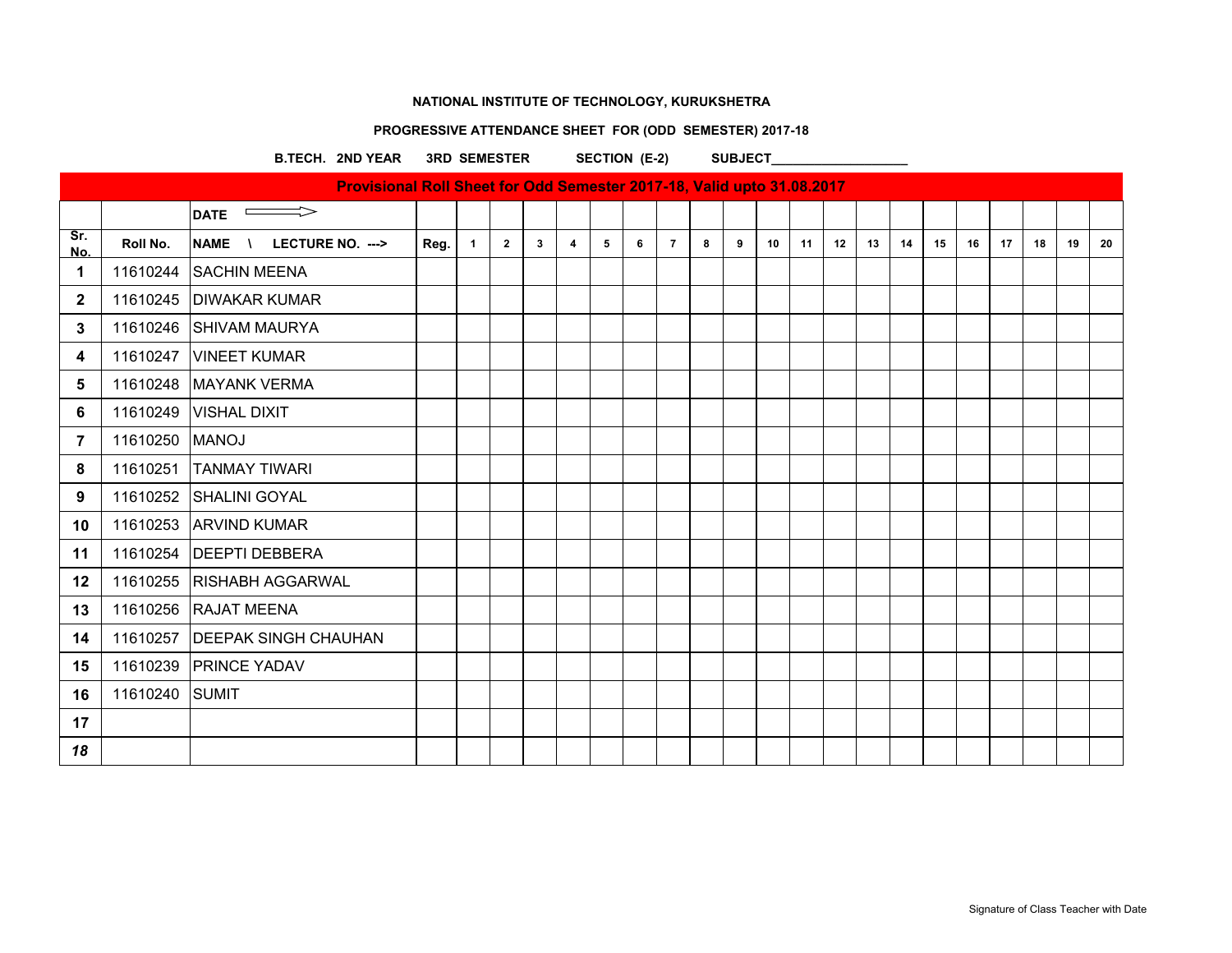# **PROGRESSIVE ATTENDANCE SHEET FOR (ODD SEMESTER) 2017-18**

B.TECH. 2ND YEAR 3RD SEMESTER SECTION (E-2) SUBJECT

|                |          | Provisional Roll Sheet for Odd Semester 2017-18, Valid upto 31.08.2017 |      |              |                |             |                |   |   |                |   |   |    |    |    |    |    |    |    |    |    |    |    |
|----------------|----------|------------------------------------------------------------------------|------|--------------|----------------|-------------|----------------|---|---|----------------|---|---|----|----|----|----|----|----|----|----|----|----|----|
|                |          | $\implies$<br><b>DATE</b>                                              |      |              |                |             |                |   |   |                |   |   |    |    |    |    |    |    |    |    |    |    |    |
| Sr.<br>No.     | Roll No. | <b>NAME</b><br>LECTURE NO. ---><br>$\sqrt{ }$                          | Reg. | $\mathbf{1}$ | $\overline{2}$ | $3^{\circ}$ | $\overline{4}$ | 5 | 6 | $\overline{7}$ | 8 | 9 | 10 | 11 | 12 | 13 | 14 | 15 | 16 | 17 | 18 | 19 | 20 |
| 1              | 11610244 | <b>SACHIN MEENA</b>                                                    |      |              |                |             |                |   |   |                |   |   |    |    |    |    |    |    |    |    |    |    |    |
| $\mathbf{2}$   | 11610245 | <b>DIWAKAR KUMAR</b>                                                   |      |              |                |             |                |   |   |                |   |   |    |    |    |    |    |    |    |    |    |    |    |
| 3              | 11610246 | <b>SHIVAM MAURYA</b>                                                   |      |              |                |             |                |   |   |                |   |   |    |    |    |    |    |    |    |    |    |    |    |
| 4              | 11610247 | <b>VINEET KUMAR</b>                                                    |      |              |                |             |                |   |   |                |   |   |    |    |    |    |    |    |    |    |    |    |    |
| 5              | 11610248 | <b>MAYANK VERMA</b>                                                    |      |              |                |             |                |   |   |                |   |   |    |    |    |    |    |    |    |    |    |    |    |
| 6              | 11610249 | <b>VISHAL DIXIT</b>                                                    |      |              |                |             |                |   |   |                |   |   |    |    |    |    |    |    |    |    |    |    |    |
| $\overline{7}$ | 11610250 | <b>MANOJ</b>                                                           |      |              |                |             |                |   |   |                |   |   |    |    |    |    |    |    |    |    |    |    |    |
| 8              | 11610251 | <b>TANMAY TIWARI</b>                                                   |      |              |                |             |                |   |   |                |   |   |    |    |    |    |    |    |    |    |    |    |    |
| 9              | 11610252 | <b>SHALINI GOYAL</b>                                                   |      |              |                |             |                |   |   |                |   |   |    |    |    |    |    |    |    |    |    |    |    |
| 10             | 11610253 | <b>ARVIND KUMAR</b>                                                    |      |              |                |             |                |   |   |                |   |   |    |    |    |    |    |    |    |    |    |    |    |
| 11             | 11610254 | <b>DEEPTI DEBBERA</b>                                                  |      |              |                |             |                |   |   |                |   |   |    |    |    |    |    |    |    |    |    |    |    |
| $12 \,$        | 11610255 | <b>RISHABH AGGARWAL</b>                                                |      |              |                |             |                |   |   |                |   |   |    |    |    |    |    |    |    |    |    |    |    |
| 13             | 11610256 | <b>RAJAT MEENA</b>                                                     |      |              |                |             |                |   |   |                |   |   |    |    |    |    |    |    |    |    |    |    |    |
| 14             | 11610257 | <b>DEEPAK SINGH CHAUHAN</b>                                            |      |              |                |             |                |   |   |                |   |   |    |    |    |    |    |    |    |    |    |    |    |
| 15             | 11610239 | <b>PRINCE YADAV</b>                                                    |      |              |                |             |                |   |   |                |   |   |    |    |    |    |    |    |    |    |    |    |    |
| 16             | 11610240 | <b>SUMIT</b>                                                           |      |              |                |             |                |   |   |                |   |   |    |    |    |    |    |    |    |    |    |    |    |
| 17             |          |                                                                        |      |              |                |             |                |   |   |                |   |   |    |    |    |    |    |    |    |    |    |    |    |
| 18             |          |                                                                        |      |              |                |             |                |   |   |                |   |   |    |    |    |    |    |    |    |    |    |    |    |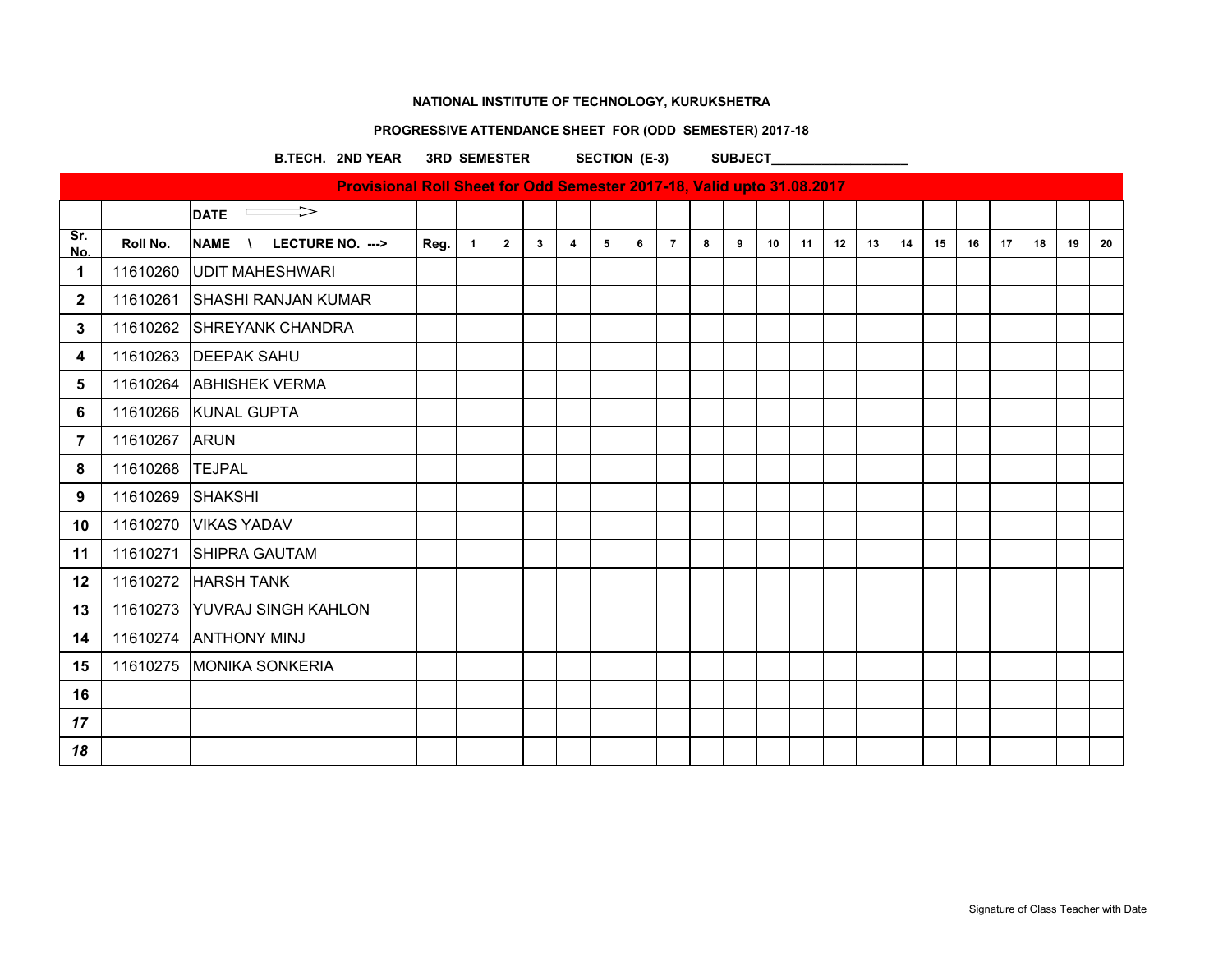# **PROGRESSIVE ATTENDANCE SHEET FOR (ODD SEMESTER) 2017-18**

B.TECH. 2ND YEAR 3RD SEMESTER SECTION (E-3) SUBJECT\_

|              |          | Provisional Roll Sheet for Odd Semester 2017-18, Valid upto 31.08.2017 |      |              |                |   |                |   |   |                |   |   |    |    |    |    |    |    |    |    |    |    |    |
|--------------|----------|------------------------------------------------------------------------|------|--------------|----------------|---|----------------|---|---|----------------|---|---|----|----|----|----|----|----|----|----|----|----|----|
|              |          | <b>DATE</b><br>$\qquad \qquad \Box$                                    |      |              |                |   |                |   |   |                |   |   |    |    |    |    |    |    |    |    |    |    |    |
| Sr.<br>No.   | Roll No. | <b>NAME</b><br>LECTURE NO. ---><br>$\sqrt{ }$                          | Reg. | $\mathbf{1}$ | $\overline{2}$ | 3 | $\overline{4}$ | 5 | 6 | $\overline{7}$ | 8 | 9 | 10 | 11 | 12 | 13 | 14 | 15 | 16 | 17 | 18 | 19 | 20 |
| 1            | 11610260 | <b>UDIT MAHESHWARI</b>                                                 |      |              |                |   |                |   |   |                |   |   |    |    |    |    |    |    |    |    |    |    |    |
| $\mathbf{2}$ | 11610261 | <b>SHASHI RANJAN KUMAR</b>                                             |      |              |                |   |                |   |   |                |   |   |    |    |    |    |    |    |    |    |    |    |    |
| 3            | 11610262 | <b>SHREYANK CHANDRA</b>                                                |      |              |                |   |                |   |   |                |   |   |    |    |    |    |    |    |    |    |    |    |    |
| 4            | 11610263 | <b>DEEPAK SAHU</b>                                                     |      |              |                |   |                |   |   |                |   |   |    |    |    |    |    |    |    |    |    |    |    |
| 5            | 11610264 | <b>ABHISHEK VERMA</b>                                                  |      |              |                |   |                |   |   |                |   |   |    |    |    |    |    |    |    |    |    |    |    |
| 6            |          | 11610266 KUNAL GUPTA                                                   |      |              |                |   |                |   |   |                |   |   |    |    |    |    |    |    |    |    |    |    |    |
| 7            | 11610267 | <b>ARUN</b>                                                            |      |              |                |   |                |   |   |                |   |   |    |    |    |    |    |    |    |    |    |    |    |
| 8            | 11610268 | <b>TEJPAL</b>                                                          |      |              |                |   |                |   |   |                |   |   |    |    |    |    |    |    |    |    |    |    |    |
| 9            | 11610269 | <b>SHAKSHI</b>                                                         |      |              |                |   |                |   |   |                |   |   |    |    |    |    |    |    |    |    |    |    |    |
| 10           | 11610270 | <b>VIKAS YADAV</b>                                                     |      |              |                |   |                |   |   |                |   |   |    |    |    |    |    |    |    |    |    |    |    |
| 11           | 11610271 | <b>SHIPRA GAUTAM</b>                                                   |      |              |                |   |                |   |   |                |   |   |    |    |    |    |    |    |    |    |    |    |    |
| 12           | 11610272 | <b>HARSH TANK</b>                                                      |      |              |                |   |                |   |   |                |   |   |    |    |    |    |    |    |    |    |    |    |    |
| 13           | 11610273 | <b>YUVRAJ SINGH KAHLON</b>                                             |      |              |                |   |                |   |   |                |   |   |    |    |    |    |    |    |    |    |    |    |    |
| 14           | 11610274 | <b>ANTHONY MINJ</b>                                                    |      |              |                |   |                |   |   |                |   |   |    |    |    |    |    |    |    |    |    |    |    |
| 15           | 11610275 | <b>MONIKA SONKERIA</b>                                                 |      |              |                |   |                |   |   |                |   |   |    |    |    |    |    |    |    |    |    |    |    |
| 16           |          |                                                                        |      |              |                |   |                |   |   |                |   |   |    |    |    |    |    |    |    |    |    |    |    |
| 17           |          |                                                                        |      |              |                |   |                |   |   |                |   |   |    |    |    |    |    |    |    |    |    |    |    |
| 18           |          |                                                                        |      |              |                |   |                |   |   |                |   |   |    |    |    |    |    |    |    |    |    |    |    |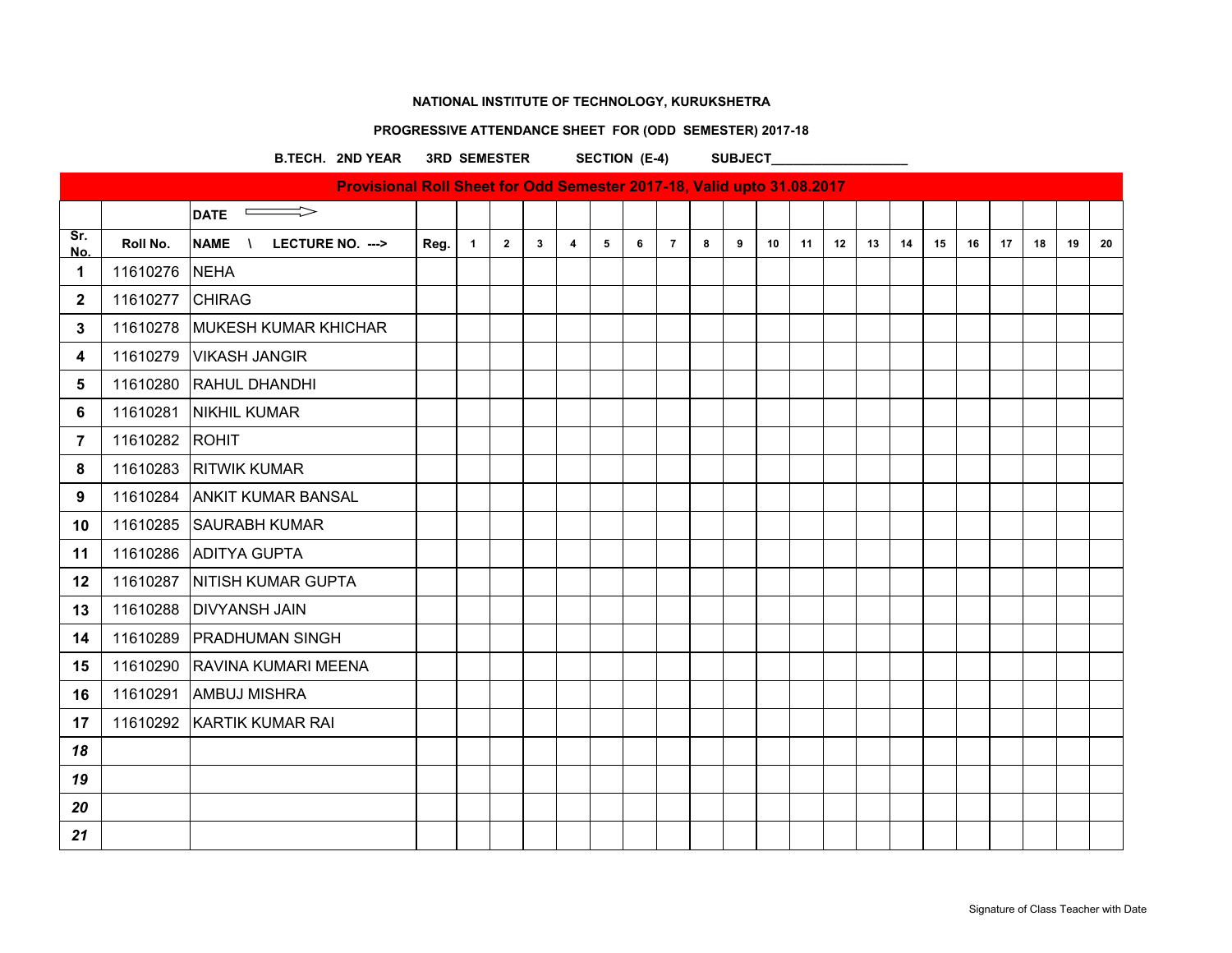# **PROGRESSIVE ATTENDANCE SHEET FOR (ODD SEMESTER) 2017-18**

B.TECH. 2ND YEAR 3RD SEMESTER SECTION (E-4) SUBJECT

|                |                | Provisional Roll Sheet for Odd Semester 2017-18, Valid upto 31.08.2017 |      |              |              |              |                         |   |   |                |   |   |    |    |    |    |    |    |    |    |    |    |    |
|----------------|----------------|------------------------------------------------------------------------|------|--------------|--------------|--------------|-------------------------|---|---|----------------|---|---|----|----|----|----|----|----|----|----|----|----|----|
|                |                | $\Rightarrow$<br>$\sim$ 100 $\sim$<br><b>DATE</b>                      |      |              |              |              |                         |   |   |                |   |   |    |    |    |    |    |    |    |    |    |    |    |
| Sr.<br>No.     | Roll No.       | <b>NAME</b><br>LECTURE NO. ---><br>$\lambda$                           | Reg. | $\mathbf{1}$ | $\mathbf{2}$ | $\mathbf{3}$ | $\overline{\mathbf{4}}$ | 5 | 6 | $\overline{7}$ | 8 | 9 | 10 | 11 | 12 | 13 | 14 | 15 | 16 | 17 | 18 | 19 | 20 |
| 1              | 11610276       | <b>NEHA</b>                                                            |      |              |              |              |                         |   |   |                |   |   |    |    |    |    |    |    |    |    |    |    |    |
| $\mathbf{2}$   | 11610277       | <b>CHIRAG</b>                                                          |      |              |              |              |                         |   |   |                |   |   |    |    |    |    |    |    |    |    |    |    |    |
| 3              | 11610278       | <b>MUKESH KUMAR KHICHAR</b>                                            |      |              |              |              |                         |   |   |                |   |   |    |    |    |    |    |    |    |    |    |    |    |
| 4              | 11610279       | <b>VIKASH JANGIR</b>                                                   |      |              |              |              |                         |   |   |                |   |   |    |    |    |    |    |    |    |    |    |    |    |
| 5              | 11610280       | RAHUL DHANDHI                                                          |      |              |              |              |                         |   |   |                |   |   |    |    |    |    |    |    |    |    |    |    |    |
| 6              | 11610281       | NIKHIL KUMAR                                                           |      |              |              |              |                         |   |   |                |   |   |    |    |    |    |    |    |    |    |    |    |    |
| $\overline{7}$ | 11610282 ROHIT |                                                                        |      |              |              |              |                         |   |   |                |   |   |    |    |    |    |    |    |    |    |    |    |    |
| 8              | 11610283       | <b>RITWIK KUMAR</b>                                                    |      |              |              |              |                         |   |   |                |   |   |    |    |    |    |    |    |    |    |    |    |    |
| 9              | 11610284       | <b>ANKIT KUMAR BANSAL</b>                                              |      |              |              |              |                         |   |   |                |   |   |    |    |    |    |    |    |    |    |    |    |    |
| 10             | 11610285       | <b>SAURABH KUMAR</b>                                                   |      |              |              |              |                         |   |   |                |   |   |    |    |    |    |    |    |    |    |    |    |    |
| 11             | 11610286       | <b>ADITYA GUPTA</b>                                                    |      |              |              |              |                         |   |   |                |   |   |    |    |    |    |    |    |    |    |    |    |    |
| 12             | 11610287       | NITISH KUMAR GUPTA                                                     |      |              |              |              |                         |   |   |                |   |   |    |    |    |    |    |    |    |    |    |    |    |
| 13             | 11610288       | <b>DIVYANSH JAIN</b>                                                   |      |              |              |              |                         |   |   |                |   |   |    |    |    |    |    |    |    |    |    |    |    |
| 14             | 11610289       | <b>PRADHUMAN SINGH</b>                                                 |      |              |              |              |                         |   |   |                |   |   |    |    |    |    |    |    |    |    |    |    |    |
| 15             | 11610290       | <b>RAVINA KUMARI MEENA</b>                                             |      |              |              |              |                         |   |   |                |   |   |    |    |    |    |    |    |    |    |    |    |    |
| 16             | 11610291       | <b>AMBUJ MISHRA</b>                                                    |      |              |              |              |                         |   |   |                |   |   |    |    |    |    |    |    |    |    |    |    |    |
| 17             |                | 11610292 KARTIK KUMAR RAI                                              |      |              |              |              |                         |   |   |                |   |   |    |    |    |    |    |    |    |    |    |    |    |
| 18             |                |                                                                        |      |              |              |              |                         |   |   |                |   |   |    |    |    |    |    |    |    |    |    |    |    |
| 19             |                |                                                                        |      |              |              |              |                         |   |   |                |   |   |    |    |    |    |    |    |    |    |    |    |    |
| 20             |                |                                                                        |      |              |              |              |                         |   |   |                |   |   |    |    |    |    |    |    |    |    |    |    |    |
| 21             |                |                                                                        |      |              |              |              |                         |   |   |                |   |   |    |    |    |    |    |    |    |    |    |    |    |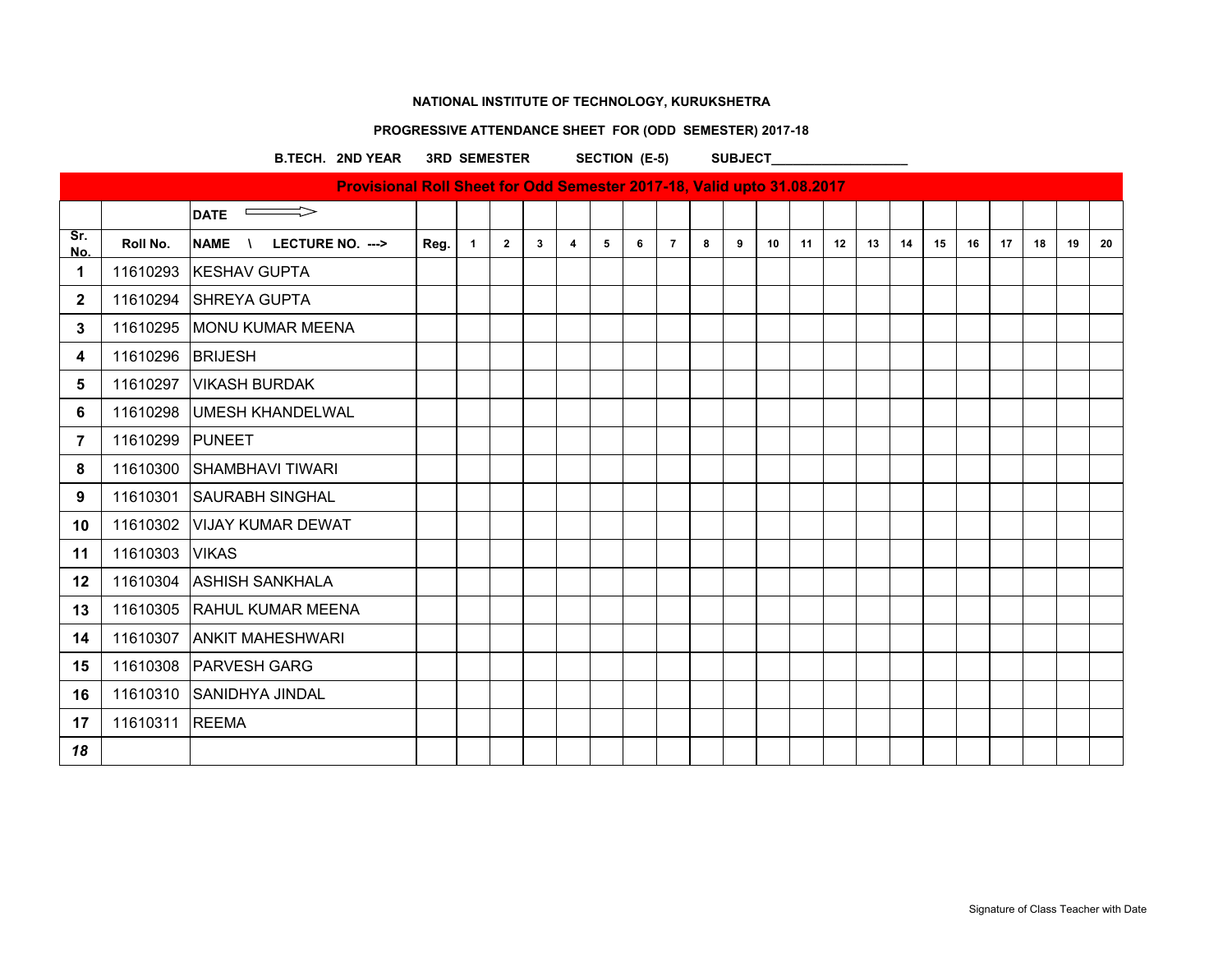# **PROGRESSIVE ATTENDANCE SHEET FOR (ODD SEMESTER) 2017-18**

B.TECH. 2ND YEAR 3RD SEMESTER SECTION (E-5) SUBJECT

|                |          | Provisional Roll Sheet for Odd Semester 2017-18, Valid upto 31.08.2017 |      |              |                |                |                |   |   |                |   |   |    |    |    |    |    |    |    |    |    |    |    |
|----------------|----------|------------------------------------------------------------------------|------|--------------|----------------|----------------|----------------|---|---|----------------|---|---|----|----|----|----|----|----|----|----|----|----|----|
|                |          | <b>DATE</b><br>$\equiv$                                                |      |              |                |                |                |   |   |                |   |   |    |    |    |    |    |    |    |    |    |    |    |
| Sr.<br>No.     | Roll No. | <b>NAME</b><br>LECTURE NO. ---><br>$\sqrt{ }$                          | Reg. | $\mathbf{1}$ | $\overline{2}$ | 3 <sup>1</sup> | $\overline{4}$ | 5 | 6 | $\overline{7}$ | 8 | 9 | 10 | 11 | 12 | 13 | 14 | 15 | 16 | 17 | 18 | 19 | 20 |
| 1              | 11610293 | <b>KESHAV GUPTA</b>                                                    |      |              |                |                |                |   |   |                |   |   |    |    |    |    |    |    |    |    |    |    |    |
| $\mathbf{2}$   | 11610294 | <b>SHREYA GUPTA</b>                                                    |      |              |                |                |                |   |   |                |   |   |    |    |    |    |    |    |    |    |    |    |    |
| 3              | 11610295 | <b>MONU KUMAR MEENA</b>                                                |      |              |                |                |                |   |   |                |   |   |    |    |    |    |    |    |    |    |    |    |    |
| 4              | 11610296 | <b>BRIJESH</b>                                                         |      |              |                |                |                |   |   |                |   |   |    |    |    |    |    |    |    |    |    |    |    |
| 5              | 11610297 | <b>VIKASH BURDAK</b>                                                   |      |              |                |                |                |   |   |                |   |   |    |    |    |    |    |    |    |    |    |    |    |
| 6              | 11610298 | UMESH KHANDELWAL                                                       |      |              |                |                |                |   |   |                |   |   |    |    |    |    |    |    |    |    |    |    |    |
| $\overline{7}$ | 11610299 | <b>PUNEET</b>                                                          |      |              |                |                |                |   |   |                |   |   |    |    |    |    |    |    |    |    |    |    |    |
| 8              | 11610300 | <b>SHAMBHAVI TIWARI</b>                                                |      |              |                |                |                |   |   |                |   |   |    |    |    |    |    |    |    |    |    |    |    |
| 9              | 11610301 | <b>SAURABH SINGHAL</b>                                                 |      |              |                |                |                |   |   |                |   |   |    |    |    |    |    |    |    |    |    |    |    |
| 10             | 11610302 | VIJAY KUMAR DEWAT                                                      |      |              |                |                |                |   |   |                |   |   |    |    |    |    |    |    |    |    |    |    |    |
| 11             | 11610303 | <b>VIKAS</b>                                                           |      |              |                |                |                |   |   |                |   |   |    |    |    |    |    |    |    |    |    |    |    |
| 12             | 11610304 | <b>ASHISH SANKHALA</b>                                                 |      |              |                |                |                |   |   |                |   |   |    |    |    |    |    |    |    |    |    |    |    |
| 13             | 11610305 | <b>RAHUL KUMAR MEENA</b>                                               |      |              |                |                |                |   |   |                |   |   |    |    |    |    |    |    |    |    |    |    |    |
| 14             | 11610307 | <b>ANKIT MAHESHWARI</b>                                                |      |              |                |                |                |   |   |                |   |   |    |    |    |    |    |    |    |    |    |    |    |
| 15             | 11610308 | <b>PARVESH GARG</b>                                                    |      |              |                |                |                |   |   |                |   |   |    |    |    |    |    |    |    |    |    |    |    |
| 16             | 11610310 | <b>SANIDHYA JINDAL</b>                                                 |      |              |                |                |                |   |   |                |   |   |    |    |    |    |    |    |    |    |    |    |    |
| 17             | 11610311 | <b>REEMA</b>                                                           |      |              |                |                |                |   |   |                |   |   |    |    |    |    |    |    |    |    |    |    |    |
| 18             |          |                                                                        |      |              |                |                |                |   |   |                |   |   |    |    |    |    |    |    |    |    |    |    |    |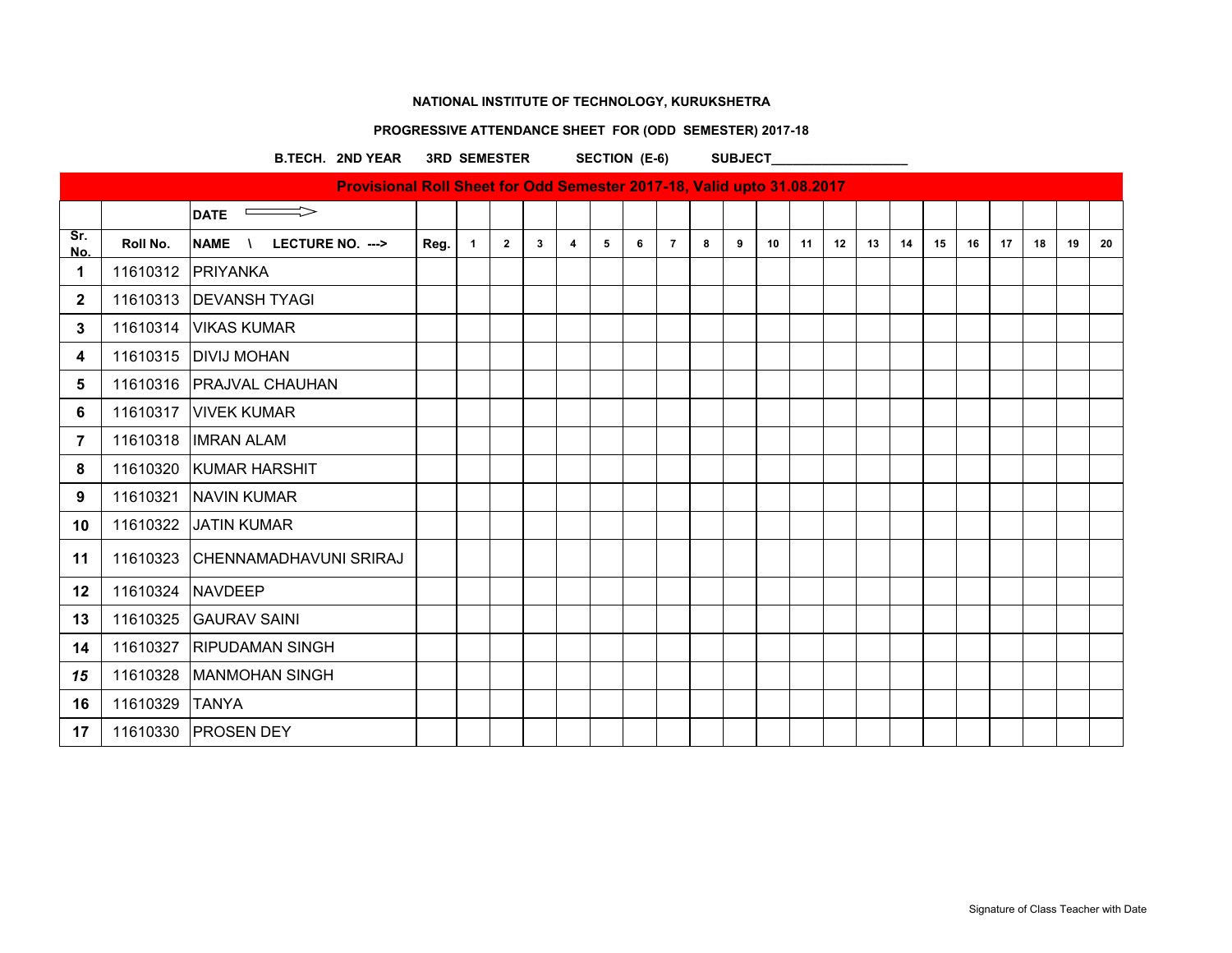# **PROGRESSIVE ATTENDANCE SHEET FOR (ODD SEMESTER) 2017-18**

B.TECH. 2ND YEAR 3RD SEMESTER SECTION (E-6) SUBJECT

|              |          | Provisional Roll Sheet for Odd Semester 2017-18, Valid upto 31.08.2017 |      |              |                |                |                |   |   |                |   |   |    |    |    |    |    |    |    |    |    |    |    |
|--------------|----------|------------------------------------------------------------------------|------|--------------|----------------|----------------|----------------|---|---|----------------|---|---|----|----|----|----|----|----|----|----|----|----|----|
|              |          | $\implies$<br><b>DATE</b>                                              |      |              |                |                |                |   |   |                |   |   |    |    |    |    |    |    |    |    |    |    |    |
| Sr.<br>No.   | Roll No. | <b>NAME</b><br>LECTURE NO. --->                                        | Reg. | $\mathbf{1}$ | $\overline{2}$ | 3 <sup>1</sup> | $\overline{4}$ | 5 | 6 | $\overline{7}$ | 8 | 9 | 10 | 11 | 12 | 13 | 14 | 15 | 16 | 17 | 18 | 19 | 20 |
| $\mathbf 1$  |          | 11610312 PRIYANKA                                                      |      |              |                |                |                |   |   |                |   |   |    |    |    |    |    |    |    |    |    |    |    |
| $\mathbf{2}$ | 11610313 | <b>DEVANSH TYAGI</b>                                                   |      |              |                |                |                |   |   |                |   |   |    |    |    |    |    |    |    |    |    |    |    |
| 3            | 11610314 | <b>VIKAS KUMAR</b>                                                     |      |              |                |                |                |   |   |                |   |   |    |    |    |    |    |    |    |    |    |    |    |
| 4            |          | 11610315   DIVIJ MOHAN                                                 |      |              |                |                |                |   |   |                |   |   |    |    |    |    |    |    |    |    |    |    |    |
| 5            |          | 11610316   PRAJVAL CHAUHAN                                             |      |              |                |                |                |   |   |                |   |   |    |    |    |    |    |    |    |    |    |    |    |
| 6            | 11610317 | <b>VIVEK KUMAR</b>                                                     |      |              |                |                |                |   |   |                |   |   |    |    |    |    |    |    |    |    |    |    |    |
| 7            | 11610318 | <b>IMRAN ALAM</b>                                                      |      |              |                |                |                |   |   |                |   |   |    |    |    |    |    |    |    |    |    |    |    |
| 8            |          | 11610320 KUMAR HARSHIT                                                 |      |              |                |                |                |   |   |                |   |   |    |    |    |    |    |    |    |    |    |    |    |
| 9            |          | 11610321 NAVIN KUMAR                                                   |      |              |                |                |                |   |   |                |   |   |    |    |    |    |    |    |    |    |    |    |    |
| 10           | 11610322 | <b>JATIN KUMAR</b>                                                     |      |              |                |                |                |   |   |                |   |   |    |    |    |    |    |    |    |    |    |    |    |
| 11           | 11610323 | CHENNAMADHAVUNI SRIRAJ                                                 |      |              |                |                |                |   |   |                |   |   |    |    |    |    |    |    |    |    |    |    |    |
| 12           | 11610324 | <b>NAVDEEP</b>                                                         |      |              |                |                |                |   |   |                |   |   |    |    |    |    |    |    |    |    |    |    |    |
| 13           | 11610325 | <b>GAURAV SAINI</b>                                                    |      |              |                |                |                |   |   |                |   |   |    |    |    |    |    |    |    |    |    |    |    |
| 14           | 11610327 | <b>RIPUDAMAN SINGH</b>                                                 |      |              |                |                |                |   |   |                |   |   |    |    |    |    |    |    |    |    |    |    |    |
| 15           | 11610328 | <b>MANMOHAN SINGH</b>                                                  |      |              |                |                |                |   |   |                |   |   |    |    |    |    |    |    |    |    |    |    |    |
| 16           | 11610329 | <b>TANYA</b>                                                           |      |              |                |                |                |   |   |                |   |   |    |    |    |    |    |    |    |    |    |    |    |
| 17           |          | 11610330 PROSEN DEY                                                    |      |              |                |                |                |   |   |                |   |   |    |    |    |    |    |    |    |    |    |    |    |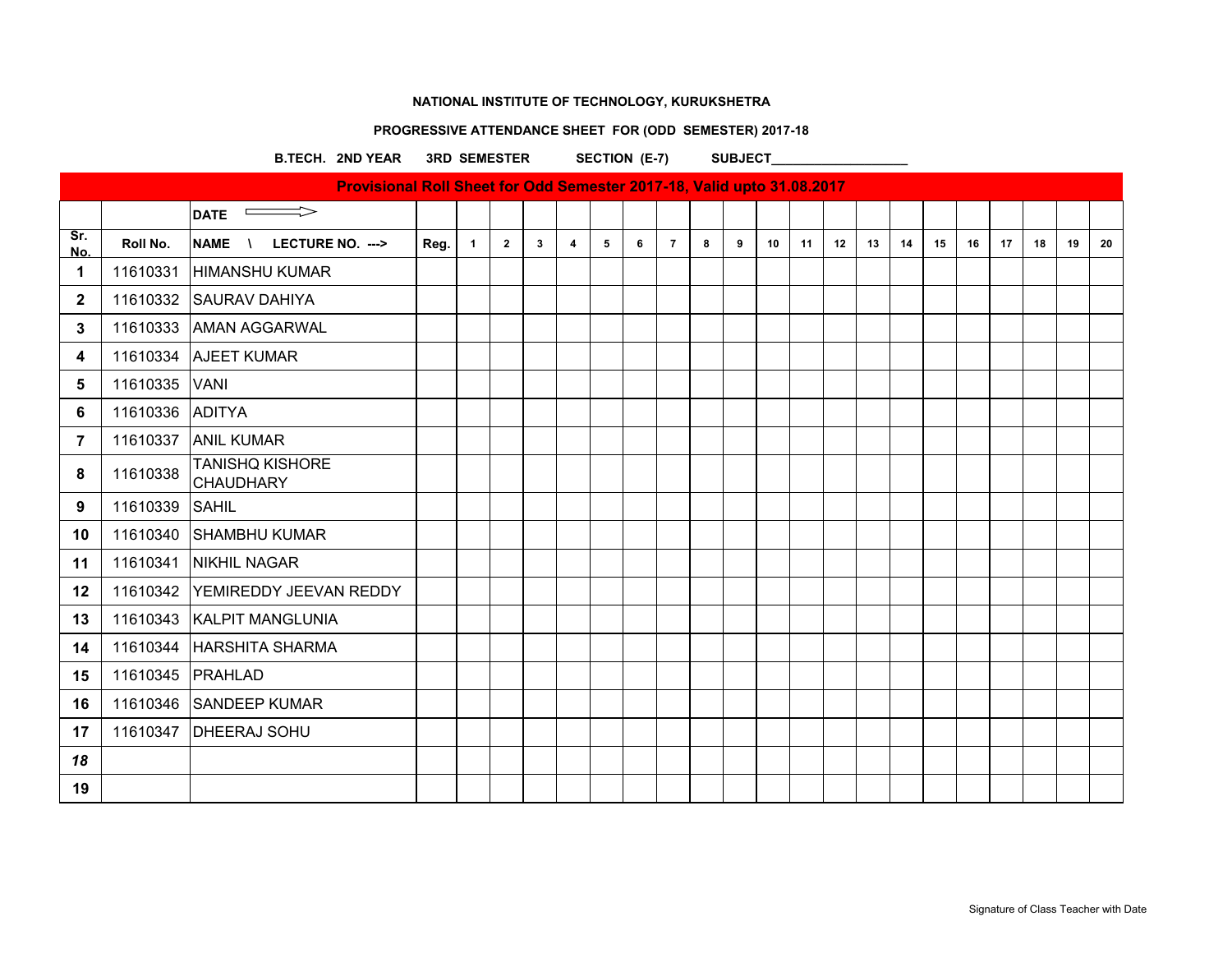# **PROGRESSIVE ATTENDANCE SHEET FOR (ODD SEMESTER) 2017-18**

B.TECH. 2ND YEAR 3RD SEMESTER SECTION (E-7) SUBJECT

|              |          | Provisional Roll Sheet for Odd Semester 2017-18, Valid upto 31.08.2017 |      |              |                |                |                |   |   |                |   |   |    |    |    |    |    |    |    |    |    |    |    |
|--------------|----------|------------------------------------------------------------------------|------|--------------|----------------|----------------|----------------|---|---|----------------|---|---|----|----|----|----|----|----|----|----|----|----|----|
|              |          | $\implies$<br><b>DATE</b>                                              |      |              |                |                |                |   |   |                |   |   |    |    |    |    |    |    |    |    |    |    |    |
| Sr.<br>No.   | Roll No. | NAME \<br>LECTURE NO. --->                                             | Reg. | $\mathbf{1}$ | $\overline{2}$ | 3 <sup>1</sup> | $\overline{4}$ | 5 | 6 | $\overline{7}$ | 8 | 9 | 10 | 11 | 12 | 13 | 14 | 15 | 16 | 17 | 18 | 19 | 20 |
| 1            | 11610331 | <b>HIMANSHU KUMAR</b>                                                  |      |              |                |                |                |   |   |                |   |   |    |    |    |    |    |    |    |    |    |    |    |
| $\mathbf{2}$ | 11610332 | <b>SAURAV DAHIYA</b>                                                   |      |              |                |                |                |   |   |                |   |   |    |    |    |    |    |    |    |    |    |    |    |
| 3            | 11610333 | <b>AMAN AGGARWAL</b>                                                   |      |              |                |                |                |   |   |                |   |   |    |    |    |    |    |    |    |    |    |    |    |
| 4            | 11610334 | <b>AJEET KUMAR</b>                                                     |      |              |                |                |                |   |   |                |   |   |    |    |    |    |    |    |    |    |    |    |    |
| 5            | 11610335 | <b>VANI</b>                                                            |      |              |                |                |                |   |   |                |   |   |    |    |    |    |    |    |    |    |    |    |    |
| 6            | 11610336 | <b>ADITYA</b>                                                          |      |              |                |                |                |   |   |                |   |   |    |    |    |    |    |    |    |    |    |    |    |
| 7            | 11610337 | <b>ANIL KUMAR</b>                                                      |      |              |                |                |                |   |   |                |   |   |    |    |    |    |    |    |    |    |    |    |    |
| 8            | 11610338 | <b>TANISHQ KISHORE</b><br>CHAUDHARY                                    |      |              |                |                |                |   |   |                |   |   |    |    |    |    |    |    |    |    |    |    |    |
| 9            | 11610339 | <b>SAHIL</b>                                                           |      |              |                |                |                |   |   |                |   |   |    |    |    |    |    |    |    |    |    |    |    |
| 10           | 11610340 | <b>SHAMBHU KUMAR</b>                                                   |      |              |                |                |                |   |   |                |   |   |    |    |    |    |    |    |    |    |    |    |    |
| 11           | 11610341 | <b>NIKHIL NAGAR</b>                                                    |      |              |                |                |                |   |   |                |   |   |    |    |    |    |    |    |    |    |    |    |    |
| 12           | 11610342 | <b>YEMIREDDY JEEVAN REDDY</b>                                          |      |              |                |                |                |   |   |                |   |   |    |    |    |    |    |    |    |    |    |    |    |
| 13           | 11610343 | <b>KALPIT MANGLUNIA</b>                                                |      |              |                |                |                |   |   |                |   |   |    |    |    |    |    |    |    |    |    |    |    |
| 14           | 11610344 | <b>HARSHITA SHARMA</b>                                                 |      |              |                |                |                |   |   |                |   |   |    |    |    |    |    |    |    |    |    |    |    |
| 15           | 11610345 | PRAHLAD                                                                |      |              |                |                |                |   |   |                |   |   |    |    |    |    |    |    |    |    |    |    |    |
| 16           | 11610346 | <b>SANDEEP KUMAR</b>                                                   |      |              |                |                |                |   |   |                |   |   |    |    |    |    |    |    |    |    |    |    |    |
| 17           | 11610347 | <b>DHEERAJ SOHU</b>                                                    |      |              |                |                |                |   |   |                |   |   |    |    |    |    |    |    |    |    |    |    |    |
| 18           |          |                                                                        |      |              |                |                |                |   |   |                |   |   |    |    |    |    |    |    |    |    |    |    |    |
| 19           |          |                                                                        |      |              |                |                |                |   |   |                |   |   |    |    |    |    |    |    |    |    |    |    |    |